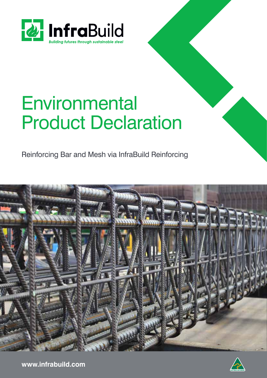

# **Environmental** Product Declaration

Reinforcing Bar and Mesh via InfraBuild Reinforcing



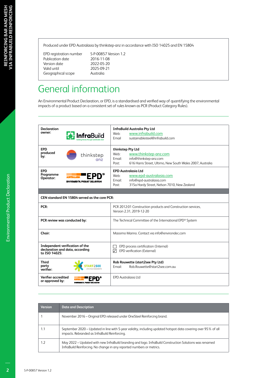Produced under EPD Australasia by thinkstep-anz in accordance with ISO 14025 and EN 15804

Publication date 2016-11-08<br>Version date 2022-05-20 Version date<br>Valid until Geographical scope

EPD registration number S-P-00857 Version 1.2 2025-09-21<br>Australia

## General information

An Environmental Product Declaration, or EPD, is a standardised and verified way of quantifying the environmental impacts of a product based on a consistent set of rules known as PCR (Product Category Rules).

| <b>Declaration</b>  |                                               | <b>InfraBuild Australia Pty Ltd</b>                                                      |
|---------------------|-----------------------------------------------|------------------------------------------------------------------------------------------|
| owner:              | <b>nfra</b> Build                             | www.infrabuild.com<br>Web:                                                               |
|                     |                                               | sustainablesteel@infrabuild.com<br>Email                                                 |
| <b>EPD</b>          |                                               | thinkstep Pty Ltd                                                                        |
| produced            |                                               | Web:<br>www.thinkstep-anz.com                                                            |
| by:                 | thinkstep                                     | info@thinkstep-anz.com<br>Email:                                                         |
|                     | anz                                           | 616 Harris Street, Ultimo, New South Wales 2007, Australia<br>Post:                      |
|                     |                                               |                                                                                          |
| <b>EPD</b>          |                                               | <b>EPD Australasia Ltd</b>                                                               |
| Programme           | <b>ALISTRALASIA</b>                           | www.epd-australasia.com<br>Web:                                                          |
| Operator:           | ENVIRONMENTAL PRODUCT DECLARATION             | info@epd-australasia.com<br>Email:                                                       |
|                     |                                               | 315a Hardy Street, Nelson 7010, New Zealand<br>Post:                                     |
|                     |                                               |                                                                                          |
|                     |                                               |                                                                                          |
|                     | CEN standard EN 15804 served as the core PCR: |                                                                                          |
| PCR:                |                                               | PCR 2012:01 Construction products and Construction services,<br>Version 2.31, 2019-12-20 |
|                     |                                               |                                                                                          |
|                     | PCR review was conducted by:                  | The Technical Committee of the International EPD® System                                 |
|                     |                                               |                                                                                          |
| Chair:              |                                               | Massimo Marino. Contact via info@environdec.com                                          |
|                     |                                               |                                                                                          |
|                     | Independent verification of the               | EPD process certification (Internal)                                                     |
|                     | declaration and data, according               | <b>EPD verification (External)</b><br>☑                                                  |
| to ISO 14025:       |                                               |                                                                                          |
| <b>Third</b>        |                                               | Rob Rouwette (start2see Pty Ltd)                                                         |
| party               |                                               | Rob.Rouwette@start2see.com.au<br>Email:                                                  |
| verifier:           |                                               |                                                                                          |
| Verifier accredited |                                               | <b>EPD Australasia Ltd</b>                                                               |
| or approved by:     | ENVIRONMENTAL PRODUCT DECLARATION             |                                                                                          |

| <b>Version</b> | <b>Date and Description</b>                                                                                                                                                      |
|----------------|----------------------------------------------------------------------------------------------------------------------------------------------------------------------------------|
|                | November 2016 – Original EPD released under OneSteel Reinforcing brand.                                                                                                          |
| 1.1            | September 2020 – Updated in line with 5-year validity, including updated hotspot data covering over 95% of all<br>impacts. Rebranded as InfraBuild Reinforcing.                  |
| 1.2            | May 2022 – Updated with new InfraBuild branding and logo. InfraBuild Construction Solutions was renamed<br>InfraBuild Reinforcing. No change in any reported numbers or metrics. |

Environmental Product Declaration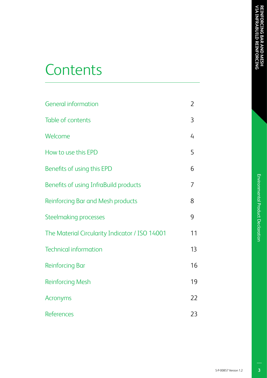# **Contents**

| <b>General information</b>                     | $\overline{2}$ |
|------------------------------------------------|----------------|
| Table of contents                              | 3              |
| Welcome                                        | $\overline{4}$ |
| How to use this EPD                            | 5              |
| Benefits of using this EPD                     | 6              |
| Benefits of using InfraBuild products          | 7              |
| Reinforcing Bar and Mesh products              | 8              |
| <b>Steelmaking processes</b>                   | 9              |
| The Material Circularity Indicator / ISO 14001 | 11             |
| <b>Technical information</b>                   | 13             |
| <b>Reinforcing Bar</b>                         | 16             |
| <b>Reinforcing Mesh</b>                        | 19             |
| Acronyms                                       | 22             |
| <b>References</b>                              | 23             |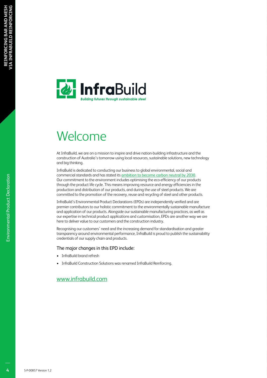

# Welcome

At InfraBuild, we are on a mission to inspire and drive nation-building infrastructure and the construction of Australia's tomorrow using local resources, sustainable solutions, new technology and big thinking.

InfraBuild is dedicated to conducting our business to global environmental, social and commercial standards and has stated its ambition to become carbon neutral by 2030. Our commitment to the environment includes optimising the eco-efficiency of our products through the product life cycle. This means improving resource and energy efficiencies in the production and distribution of our products, and during the use of steel products. We are committed to the promotion of the recovery, reuse and recycling of steel and other products.

InfraBuild's Environmental Product Declarations (EPDs) are independently verified and are premier contributors to our holistic commitment to the environmentally sustainable manufacture and application of our products. Alongside our sustainable manufacturing practices, as well as our expertise in technical product applications and customisation, EPDs are another way we are here to deliver value to our customers and the construction industry.

Recognising our customers' need and the increasing demand for standardisation and greater transparency around environmental performance, InfraBuild is proud to publish the sustainability credentials of our supply chain and products.

#### The major changes in this EPD include:

- InfraBuild brand refresh
- InfraBuild Construction Solutions was renamed InfraBuild Reinforcing.

#### www.infrabuild.com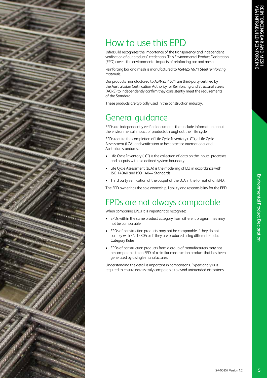

# How to use this EPD

InfraBuild recognises the importance of the transparency and independent verification of our products' credentials. This Environmental Product Declaration (EPD) covers the environmental impacts of reinforcing bar and mesh.

Reinforcing bar and mesh is manufactured to AS/NZS 4671 *Steel reinforcing materials*.

Our products manufactured to AS/NZS 4671 are third-party certified by the Australasian Certification Authority for Reinforcing and Structural Steels (ACRS) to independently confirm they consistently meet the requirements of the Standard.

These products are typically used in the construction industry.

### General guidance

EPDs are independently verified documents that include information about the environmental impact of products throughout their life cycle.

EPDs require the completion of Life Cycle Inventory (LCI), a Life Cycle Assessment (LCA) and verification to best practice international and Australian standards.

- Life Cycle Inventory (LCI) is the collection of data on the inputs, processes and outputs within a defined system boundary
- Life Cycle Assessment (LCA) is the modelling of LCI in accordance with ISO 14040 and ISO 14044 Standards
- Third party verification of the output of the LCA in the format of an EPD.

The EPD owner has the sole ownership, liability and responsibility for the EPD.

### EPDs are not always comparable

When comparing EPDs it is important to recognise:

- EPDs within the same product category from different programmes may not be comparable
- EPDs of construction products may not be comparable if they do not comply with EN 15804 or if they are produced using different Product Category Rules
- EPDs of construction products from a group of manufacturers may not be comparable to an EPD of a similar construction product that has been generated by a single manufacturer.

Understanding the detail is important in comparisons. Expert analysis is required to ensure data is truly comparable to avoid unintended distortions.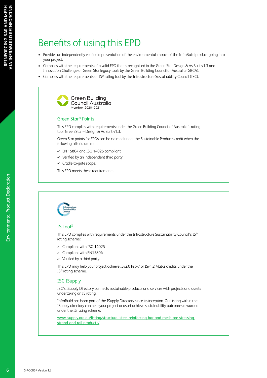### Benefits of using this EPD

- Provides an independently verified representation of the environmental impact of the InfraBuild product going into your project.
- Complies with the requirements of a valid EPD that is recognised in the Green Star Design & As Built v1.3 and Innovation Challenge of Green Star legacy tools by the Green Building Council of Australia (GBCA).
- Complies with the requirements of IS® rating tool by the Infrastructure Sustainability Council (ISC).



#### Green Star® Points

This EPD complies with requirements under the Green Building Council of Australia's rating tool, Green Star – Design & As Built v1.3.

Green Star points for EPDs can be claimed under the Sustainable Products credit when the following criteria are met:

- $\checkmark$  EN 15804 and ISO 14025 compliant
- $\checkmark$  Verified by an independent third party
- $\checkmark$  Cradle-to-gate scope.

This EPD meets these requirements.



#### IS Tool®

This EPD complies with requirements under the Infrastructure Sustainability Council's IS® rating scheme:

- $\checkmark$  Compliant with ISO 14025
- $\checkmark$  Compliant with EN15804
- $\checkmark$  Verified by a third party.

This EPD may help your project achieve ISv2.0 Rso-7 or ISv1.2 Mat-2 credits under the IS® rating scheme.

#### ISC ISupply

ISC's ISupply Directory connects sustainable products and services with projects and assets undertaking an IS rating.

InfraBuild has been part of the ISupply Directory since its inception. Our listing within the ISupply directory can help your project or asset achieve sustainability outcomes rewarded under the IS rating scheme.

www.isupply.org.au/listing/structural-steel-reinforcing-bar-and-mesh-pre-stressingstrand-and-rail-products/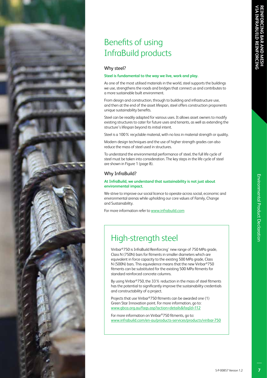### Benefits of using InfraBuild products

#### Why steel?

#### **Steel is fundamental to the way we live, work and play.**

As one of the most utilised materials in the world, steel supports the buildings we use, strengthens the roads and bridges that connect us and contributes to a more sustainable built environment.

From design and construction, through to building and infrastructure use, and then at the end of the asset lifespan, steel offers construction proponents unique sustainability benefits.

Steel can be readily adapted for various uses. It allows asset owners to modify existing structures to cater for future uses and tenants, as well as extending the structure's lifespan beyond its initial intent.

Steel is a 100% recyclable material, with no loss in material strength or quality.

Modern design techniques and the use of higher strength grades can also reduce the mass of steel used in structures.

To understand the environmental performance of steel, the full life cycle of steel must be taken into consideration. The key steps in the life cycle of steel are shown in Figure 1 (page 8).

#### Why InfraBuild?

#### **At InfraBuild, we understand that sustainability is not just about environmental impact.**

We strive to improve our social licence to operate across social, economic and environmental arenas while upholding our core values of Family, Change and Sustainability.

For more information refer to www.infrabuild.com

### High-strength steel

Viribar®750 is InfraBuild Reinforcing' new range of 750 MPa grade, Class N (750N) bars for fitments in smaller diameters which are equivalent in force capacity to the existing 500 MPa grade, Class N (500N) bars. This equivalence means that the new Viribar®750 fitments can be substituted for the existing 500 MPa fitments for standard reinforced concrete columns.

By using Viribar®750, the 33% reduction in the mass of steel fitments has the potential to significantly improve the sustainability credentials and constructability of a project.

Projects that use Viribar®750 fitments can be awarded one (1) Green Star Innovation point. For more information, go to: www.gbca.org.au/faqs.asp?action=details&faqId=112

For more information on Viribar®750 fitments, go to: www.infrabuild.com/en-au/products-services/products/viribar-750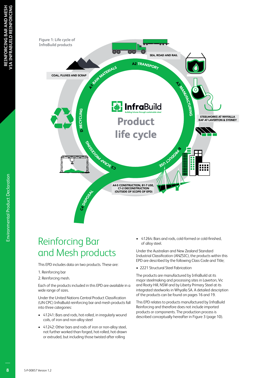

### Reinforcing Bar and Mesh products

This EPD includes data on two products. These are:

- 1. Reinforcing bar
- 2. Reinforcing mesh.

Each of the products included in this EPD are available in a wide range of sizes.

Under the United Nations Central Product Classification (UN CPC) InfraBuild reinforcing bar and mesh products fall into three categories:

- 41241: Bars and rods, hot-rolled, in irregularly wound coils, of iron and non-alloy steel
- 41242: Other bars and rods of iron or non-alloy steel, not further worked than forged, hot-rolled, hot-drawn or extruded, but including those twisted after rolling

• 41264: Bars and rods, cold-formed or cold-finished, of alloy steel.

Under the Australian and New Zealand Standard Industrial Classification (ANZSIC), the products within this EPD are described by the following Class Code and Title;

• 2221 Structural Steel Fabrication

The products are manufactured by InfraBuild at its major steelmaking and processing sites in Laverton, Vic and Rooty Hill, NSW and by Liberty Primary Steel at its integrated steelworks in Whyalla SA. A detailed description of the products can be found on pages 16 and 19.

This EPD relates to products manufactured by InfraBuild Reinforcing and therefore does not include imported products or components. The production process is described conceptually hereafter in Figure 3 (page 10).

Environmental Product Declaration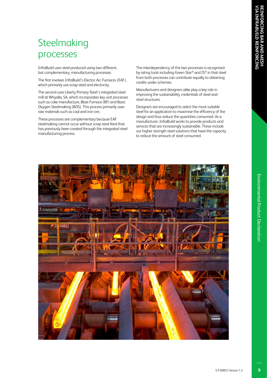### **Steelmaking** processes

InfraBuild uses steel produced using two different, but complementary, manufacturing processes.

The first involves InfraBuild's Electric Arc Furnaces (EAF), which primarily use scrap steel and electricity.

The second uses Liberty Primary Steel's integrated steel mill at Whyalla, SA, which incorporates key unit processes such as coke manufacture, Blast Furnace (BF) and Basic Oxygen Steelmaking (BOS). This process primarily uses raw materials such as coal and iron ore.

These processes are complementary because EAF steelmaking cannot occur without scrap steel feed that has previously been created through the integrated steel manufacturing process.

The interdependency of the two processes is recognised by rating tools including Green Star® and IS® in that steel from both processes can contribute equally to obtaining credits under schemes.

Manufacturers and designers alike play a key role in improving the sustainability credentials of steel and steel structures.

Designers are encouraged to select the most suitable steel for an application to maximise the efficiency of the design and thus reduce the quantities consumed. As a manufacturer, InfraBuild works to provide products and services that are increasingly sustainable. These include our higher strength steel solutions that have the capacity to reduce the amount of steel consumed.

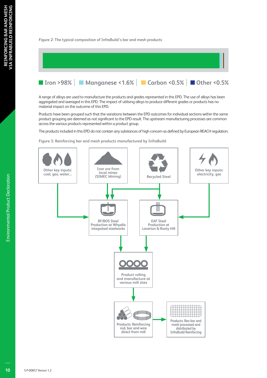#### **Figure 2: The typical composition of InfraBuild's bar and mesh products**



A range of alloys are used to manufacture the products and grades represented in this EPD. The use of alloys has been aggregated and averaged in this EPD. The impact of utilising alloys to produce different grades or products has no material impact on the outcome of this EPD.

Products have been grouped such that the variations between the EPD outcomes for individual sections within the same product grouping are deemed as not significant to the EPD result. The upstream manufacturing processes are common across the various products represented within a product group.

The products included in this EPD do not contain any substances of high concern as defined by European REACH regulation.

**Figure 3: Reinforcing bar and mesh products manufactured by InfraBuild**

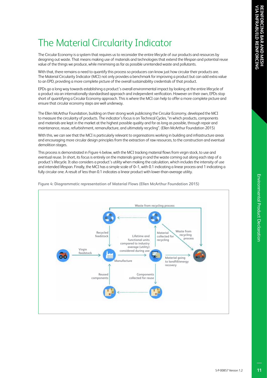# The Material Circularity Indicator

The Circular Economy is a system that requires us to reconsider the entire lifecycle of our products and resources by designing out waste. That means making use of materials and technologies that extend the lifespan and potential reuse value of the things we produce, while minimising as far as possible unintended waste and pollutants.

With that, there remains a need to quantify this process so producers can know just how circular their products are. The Material Circularity Indicator (MCI) not only provides a benchmark for improving a product but can add extra value to an EPD, providing a more complete picture of the overall sustainability credentials of that product.

EPDs go a long way towards establishing a product's overall environmental impact by looking at the entire lifecycle of a product via an internationally standardised approach and independent verification. However on their own, EPDs stop short of quantifying a Circular Economy approach. This is where the MCI can help to offer a more complete picture and ensure that circular economy steps are well underway.

The Ellen McArthur Foundation, building on their strong work publicising the Circular Economy, developed the MCI to measure the circularity of products. The indicator's focus is on Technical Cycles, "in which products, components and materials are kept in the market at the highest possible quality and for as long as possible, through repair and maintenance, reuse, refurbishment, remanufacture, and ultimately recycling". (Ellen McArthur Foundation 2015)

With this, we can see that the MCI is particularly relevant to organisations working in building and infrastructure areas and encouraging more circular design principles from the extraction of raw resources, to the construction and eventual demolition stages.

This process is demonstrated in Figure 4 below, with the MCI tracking material flows from virgin stock, to use and eventual reuse. In short, its focus is entirely on the materials going in and the waste coming out along each step of a product's lifecycle. It also considers a product's utility when making the calculation, which includes the intensity of use and intended lifespan. Finally, the MCI has a simple scale of 0-1, with 0.1 indicating a linear process and 1 indicating a fully circular one. A result of less than 0.1 indicates a linear product with lower-than-average utility.



**Figure 4: Diagrammatic representation of Material Flows (Ellen McArthur Foundation 2015)**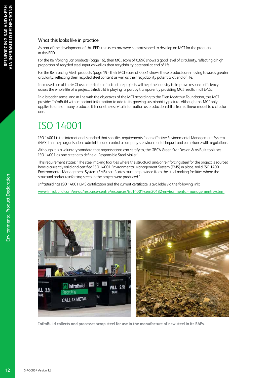#### What this looks like in practice

As part of the development of this EPD, thinkstep-anz were commissioned to develop an MCI for the products in this EPD.

For the Reinforcing Bar products (page 16), their MCI score of 0.696 shows a good level of circularity, reflecting a high proportion of recycled steel input as well as their recyclability potential at end of life.

For the Reinforcing Mesh products (page 19), their MCI score of 0.581 shows these products are moving towards greater circularity, reflecting their recycled steel content as well as their recyclability potential at end of life.

Increased use of the MCI as a metric for infrastructure projects will help the industry to improve resource efficiency across the whole life of a project. InfraBuild is playing its part by transparently providing MCI results in all EPDs.

In a broader sense, and in line with the objectives of the MCI according to the Ellen McArthur Foundation, this MCI provides InfraBuild with important information to add to its growing sustainability picture. Although this MCI only applies to one of many products, it is nonetheless vital information as production shifts from a linear model to a circular one.

### ISO 14001

ISO 14001 is the international standard that specifies requirements for an effective Environmental Management System (EMS) that help organisations administer and control a company's environmental impact and compliance with regulations.

Although it is a voluntary standard that organisations can certify to, the GBCA Green Star Design & As Built tool uses ISO 14001 as one criteria to define a 'Responsible Steel Maker'.

This requirement states: "The steel making facilities where the structural and/or reinforcing steel for the project is sourced have a currently valid and certified ISO 14001 Environmental Management System (EMS) in place. Valid ISO 14001 Environmental Management System (EMS) certificates must be provided from the steel making facilities where the structural and/or reinforcing steels in the project were produced."

InfraBuild has ISO 14001 EMS certification and the current certificate is available via the following link:

www.infrabuild.com/en-au/resource-centre/resources/iso14001-cem20182-environmental-management-system



**InfraBuild collects and processes scrap steel for use in the manufacture of new steel in its EAFs.**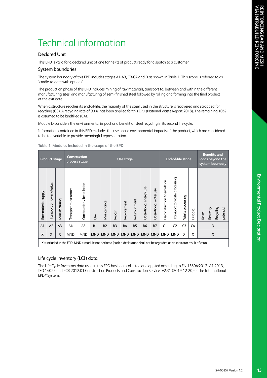## Technical information

#### Declared Unit

This EPD is valid for a declared unit of one tonne (t) of product ready for dispatch to a customer.

#### System boundaries

The system boundary of this EPD includes stages A1-A3, C3-C4 and D as shown in Table 1. This scope is referred to as 'cradle-to-gate with options'.

The production phase of this EPD includes mining of raw materials, transport to, between and within the different manufacturing sites, and manufacturing of semi-finished steel followed by rolling and forming into the final product at the exit gate.

When a structure reaches its end-of-life, the majority of the steel used in the structure is recovered and scrapped for recycling (C3). A recycling rate of 90% has been applied for this EPD (National Waste Report 2018). The remaining 10% is assumed to be landfilled (C4).

Module D considers the environmental impact and benefit of steel recycling in its second life cycle.

Information contained in this EPD excludes the use phase environmental impacts of the product, which are considered to be too variable to provide meaningful representation.

|                     | <b>Product stage</b>                                                                                                          |                |                       | Construction<br>process stage |            | Use stage   |                |             |               | End-of-life stage      |                       |                             | loads beyond the<br>system boundary | <b>Benefits and</b> |          |        |           |            |           |
|---------------------|-------------------------------------------------------------------------------------------------------------------------------|----------------|-----------------------|-------------------------------|------------|-------------|----------------|-------------|---------------|------------------------|-----------------------|-----------------------------|-------------------------------------|---------------------|----------|--------|-----------|------------|-----------|
| Raw material supply | Transport of raw materials                                                                                                    | Manufacturing  | Transport to customer | Construction / Installation   | Use        | Maintenance | Repair         | Replacement | Refurbishment | Operational energy use | Operational water use | Deconstruction / demolition | Transport to waste processing       | processing<br>Waste | Disposal | Reuse- | Recovery- | Recycling- | potential |
| A <sub>1</sub>      | A2                                                                                                                            | A <sub>3</sub> | A4                    | A <sub>5</sub>                | <b>B1</b>  | <b>B2</b>   | B <sub>3</sub> | <b>B4</b>   | <b>B5</b>     | <b>B6</b>              | <b>B7</b>             | C1                          | C <sub>2</sub>                      | C <sub>3</sub>      | C4       |        | D         |            |           |
| X                   | X                                                                                                                             | X              | <b>MND</b>            | <b>MND</b>                    | <b>MND</b> | <b>MND</b>  | <b>MND</b>     | MND         | <b>MND</b>    | <b>MND</b>             | <b>MND</b>            | <b>MND</b>                  | <b>MND</b>                          | X                   | X        |        | X         |            |           |
|                     | X = included in the EPD; MND = module not declared (such a declaration shall not be regarded as an indicator result of zero). |                |                       |                               |            |             |                |             |               |                        |                       |                             |                                     |                     |          |        |           |            |           |

**Table 1: Modules included in the scope of the EPD**

#### Life cycle inventory (LCI) data

The Life Cycle Inventory data used in this EPD has been collected and applied according to EN 15804:2012+A1:2013, ISO 14025 and PCR 2012:01 Construction Products and Construction Services v2.31 (2019-12-20) of the International EPD® System.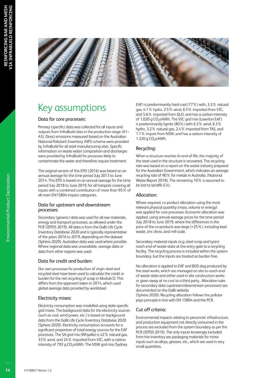

## Key assumptions

#### Data for core processes:

Primary (specific) data was collected for all inputs and outputs from InfraBuild sites in the production stage (A1– A3). Direct emissions measured based on the Australian National Pollutant Inventory (NPI) scheme were provided by InfraBuild for all steel manufacturing sites. Specific information on waste water composition and discharges were provided by InfraBuild for processes likely to contaminate the water and therefore require treatment.

The original version of this EPD (2016) was based on an annual average for the time period July 2013 to June 2014. This EPD is based on an annual average for the time period July 2018 to June 2019, for all hotspots covering all inputs with a combined contribution of more than 95% of all main EN15804 impact categories.

#### Data for upstream and downstream processes:

Secondary (generic) data was used for all raw materials, energy and transport processes, as allowed under the PCR (IEPDS 2019). All data is from the GaBi Life Cycle Inventory Database 2020 and is typically representative of the years 2016 to 2019, depending on the dataset (Sphera 2020). Australian data was used where possible. Where regional data was unavailable, average data or data from other regions was used.

#### Data for credit and burden:

Our own processes for production of virgin steel and recycled steel have been used to calculate the credit or burden for the net recycling of scrap in Module D. This differs from the approach taken in 2014, which used global average data provided by worldsteel.

#### Electricity mixes:

Electricity consumption was modelled using state-specific grid mixes. The background data for the electricity sources (such as coal, wind power, etc.) is based on background data from the GaBi Life Cycle Inventory Database 2020 (Sphera 2020). Electricity consumption accounts for a significant proportion of total energy sources for the EAF processes. The SA grid mix (Whyalla) is 42% natural gas, 33% wind, and 24% imported from VIC, with a carbon intensity of 792 g CO<sub>2</sub>e/kWh. The NSW grid mix (Sydney

EAF) is predominantly hard coal (77%) with, 3.3% natural gas, 4.1% hydro, 2.5% wind, 6.5% imported from VIC, and 5.6% imported from QLD, and has a carbon intensity of 1,020 g CO<sub>2</sub>e/kWh. The VIC grid mix (Laverton EAF) is predominantly lignite (80%) with 6.3% wind, 6.3% hydro, 3.2% natural gas, 2.4% imported from TAS, and 1.1% import from NSW, and has a carbon intensity of 1,320 g  $CO<sub>2</sub>e/kWh$ .

#### Recycling:

When a structure reaches its end-of-life, the majority of the steel used in the structure is recovered. The recycling rate was based on a report on the waste industry prepared for the Australian Government, which indicates an average recycling rate of 90% for metals in Australia. (National Waste Report 2018). The remaining 10% is assumed to be lost to landfill (C4).

#### Allocation:

Where required, co-product allocation using the most relevant physical quantity (mass, volume or energy) was applied for core processes. Economic allocation was applied, using annual average prices for the time period July 2018 to June 2019, where the differences in the price of the co-products was large (>25%), including lead waste, zinc dross, and mill scale.

Secondary material inputs (e.g. steel scrap and tyres) reach end-of-waste state at the entry gate to a recycling facility. The recycling process is included within the system boundary, but the inputs are treated as burden free.

No allocation is applied to EAF and BOS slag produced by the steel works, which are managed on site to reach endof-waste state and either used in site construction works or given away at no cost to a third party.. Allocation rules for secondary data (upstream/downstream processes) are documented on the GaBi website

(Sphera 2020). Recycling allocation follows the polluter pays principle in line with EN 15804 and the PCR.

#### Cut off criteria:

Environmental impacts relating to personnel, infrastructure, and production equipment not directly consumed in the process are excluded from the system boundary as per the PCR (IEPDS 2019). The only inputs knowingly excluded from the inventory are packaging materials for minor inputs such as alloys, greases, etc., which are used in very small quantities.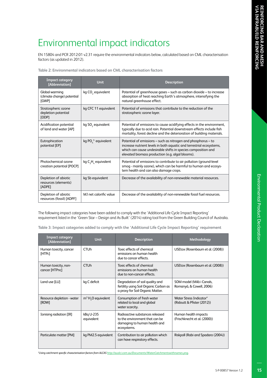## Environmental impact indicators

EN 15804 and PCR 2012:01 v2.31 require the environmental indicators below, calculated based on CML characterisation factors (as updated in 2012).

**Table 2: Environmental indicators based on CML characterisation factors**

| <b>Impact category</b><br>[Abbreviation]               | <b>Unit</b>                   | <b>Description</b>                                                                                                                                                                                                                                         |
|--------------------------------------------------------|-------------------------------|------------------------------------------------------------------------------------------------------------------------------------------------------------------------------------------------------------------------------------------------------------|
| Global warming<br>(climate change) potential<br>[GWP]  | kg CO <sub>2</sub> equivalent | Potential of greenhouse gases – such as carbon dioxide – to increase<br>absorption of heat reaching Earth's atmosphere, intensifying the<br>natural greenhouse effect.                                                                                     |
| Stratospheric ozone<br>depletion potential<br>[ODP]    | kg CFC 11 equivalent          | Potential of emissions that contribute to the reduction of the<br>stratospheric ozone layer.                                                                                                                                                               |
| Acidification potential<br>of land and water [AP]      | kg SO <sub>2</sub> equivalent | Potential of emissions to cause acidifying effects in the environment,<br>typically due to acid rain. Potential downstream effects include fish<br>mortality, forest decline and the deterioration of building materials.                                  |
| Eutrophication<br>potential [EP]                       | kg PO $^3$ equivalent         | Potential of emissions – such as nitrogen and phosphorus – to<br>increase nutrient levels in both aquatic and terrestrial ecosystems,<br>which can cause undesirable shifts in species composition and<br>elevated biomass production (e.g. algal blooms). |
| Photochemical ozone<br>creation potential [POCP]       | kg $C_2H_2$ equivalent        | Potential of emissions to contribute to air pollution (ground-level<br>smog - mainly ozone), which can be harmful to human and ecosys-<br>tem health and can also damage crops.                                                                            |
| Depletion of abiotic<br>resources (elements)<br>[ADPE] | kg Sb equivalent              | Decrease of the availability of non-renewable material resources.                                                                                                                                                                                          |
| Depletion of abiotic<br>resources (fossil) [ADPF]      | MJ net calorific value        | Decrease of the availability of non-renewable fossil fuel resources.                                                                                                                                                                                       |

The following impact categories have been added to comply with the 'Additional Life Cycle Impact Reporting' requirement listed in the 'Green Star – Design and As Built' (2014) rating tool from the Green Building Council of Australia.

**Table 3: Impact categories added to comply with the 'Additional Life Cycle Impact Reporting' requirement**

| <b>Impact category</b><br>[Abbreviation] | <b>Unit</b>             | <b>Description</b>                                                                                               | Methodology                                           |
|------------------------------------------|-------------------------|------------------------------------------------------------------------------------------------------------------|-------------------------------------------------------|
| Human toxicity, cancer<br>[HTPc]         | <b>CTU<sub>h</sub></b>  | Toxic effects of chemical<br>emissions on human health<br>due to cancer effects.                                 | USEtox (Rosenbaum et al. (2008))                      |
| Human toxicity, non-<br>cancer [HTPnc]   | <b>CTU<sub>h</sub></b>  | Toxic effects of chemical<br>emissions on human health<br>due to non-cancer effects.                             | USEtox (Rosenbaum et al. (2008))                      |
| Land use [LU]                            | kg C deficit            | Degradation of soil quality and<br>fertility using Soil Organic Carbon as<br>a proxy for Soil Organic Matter.    | SOM model (Milà i Canals,<br>Romanyà, & Cowell, 2006) |
| Resource depletion - water<br>[RDW]      | $m3 H2O$ equivalent     | Consumption of fresh water<br>related to local and global<br>water scarcity.                                     | Water Stress Indicator*<br>(Ridoutt & Pfister (2012)) |
| Ionising radiation [IR]                  | kBq U-235<br>equivalent | Radioactive substances released<br>to the environment that can be<br>damaging to human health and<br>ecosystems. | Human health impacts<br>(Frischknecht et al. (2000))  |
| Particulate matter [PM]                  | kg PM2.5 equivalent     | Contribution to air pollution which<br>can have respiratory effects.                                             | Riskpoll (Rabi and Spadaro (2004))                    |

*\*Using catchment specific characterisation factors from ALCAS http://auslci.com.au/Documents/WaterCatchmentswithnames.png.*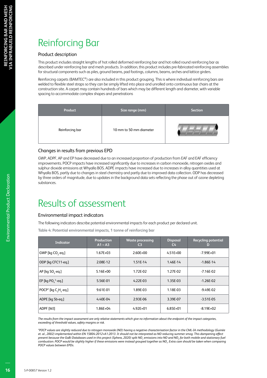# Reinforcing Bar

#### Product description

This product includes straight lengths of hot rolled deformed reinforcing bar and hot rolled round reinforcing bar as described under reinforcing bar and mesh products. In addition, this product includes pre-fabricated reinforcing assemblies for structural components such as piles, ground beams, pad footings, columns, beams, arches and lattice girders.

Reinforcing carpets (BAMTEC®) are also included in this product grouping. This is where individual reinforcing bars are welded to flexible steel straps so they can be simply lifted into place and unrolled onto continuous bar chairs at the construction site. A carpet may contain hundreds of bars which may be different length and diameter, with variable spacing to accommodate complex shapes and penetrations

| Product         | Size range (mm)         | <b>Section</b> |
|-----------------|-------------------------|----------------|
| Reinforcing bar | 10 mm to 50 mm diameter |                |

#### Changes in results from previous EPD

GWP, ADPF, AP and EP have decreased due to an increased proportion of production from EAF and EAF efficiency improvements. POCP impacts have increased significantly due to increases in carbon monoxide, nitrogen oxides and sulphur dioxide emissions at Whyalla BOS. ADPE impacts have increased due to increases in alloy quantities used at Whyalla BOS, partly due to changes in steel chemistry and partly due to improved data collection. ODP has decreased by three orders of magnitude, due to updates in the background data sets reflecting the phase out of ozone depleting substances.

### Results of assessment

#### Environmental impact indicators

The following indicators describe potential environmental impacts for each product per declared unit.

**Table 4: Potential environmental impacts, 1 tonne of reinforcing bar**

| <b>Indicator</b>                     | Production<br>$A1 - A3$ | <b>Waste processing</b><br>C <sub>3</sub> | <b>Disposal</b><br>$C_{\rm 4}$ | <b>Recycling potential</b><br>D |
|--------------------------------------|-------------------------|-------------------------------------------|--------------------------------|---------------------------------|
| GWP [kg CO <sub>2</sub> -eq.]        | $1.67E + 03$            | $2.60E + 00$                              | $4.51E + 00$                   | $-7.99E + 01$                   |
| ODP [kg CFC11-eg.]                   | 2.08E-12                | 1.51E-14                                  | 1.46E-14                       | $-1.86E - 14$                   |
| AP [kg $SO$ <sub>2</sub> -eq.]       | 5.16E+00                | 1.72E-02                                  | 1.27E-02                       | $-7.16E - 02$                   |
| EP [kg PO $^3$ -eq.]                 | 5.56E-01                | $4.22E-03$                                | 1.35E-03                       | $-1.26E - 02$                   |
| POCP <sup>*</sup> [kg $C, H, -eq$ .] | 9.61E-01                | 1.89E-03                                  | 1.18E-03                       | $-9.49E - 02$                   |
| ADPE [kg Sb-eg.]                     | 4.40E-04                | 2.93E-06                                  | 3.39E-07                       | $-3.51E-05$                     |
| ADPF [MJ]                            | 1.86E+04                | $4.92E + 01$                              | $6.85E + 01$                   | $-8.19E + 02$                   |

*The results from the impact assessment are only relative statements which give no information about the endpoint of the impact categories, exceeding of threshold values, safety margins or risk.*

*\*POCP values are slightly reduced due to nitrogen monoxide (NO) having a negative characterisation factor in the CML-IA methodology (Guinée et. al., 2002) implemented within EN 15804:2012+A1:2013. It should not be interpreted as NO reducing summer smog. This dampening effect present because the GaBi Databases used in this project (Sphera, 2020) split NOx emissions into NO and NO2 for both mobile and stationary fuel combustion. POCP would be slightly higher if these emissions were instead grouped together as NOx. Extra care should be taken when comparing POCP values between EPDs.*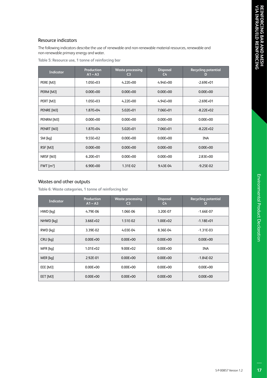#### Resource indicators

The following indicators describe the use of renewable and non-renewable material resources, renewable and non-renewable primary energy and water.

| Table 5: Resource use, 1 tonne of reinforcing bar |  |  |  |  |  |
|---------------------------------------------------|--|--|--|--|--|
|---------------------------------------------------|--|--|--|--|--|

| <b>Indicator</b>        | <b>Production</b><br>$A1 - A3$ | <b>Waste processing</b><br>C <sub>3</sub> | <b>Disposal</b><br>$C_{\rm 4}$ | <b>Recycling potential</b><br>D |
|-------------------------|--------------------------------|-------------------------------------------|--------------------------------|---------------------------------|
| PERE [MJ]               | $1.05E + 03$                   | $4.22E + 00$                              | $4.94E + 00$                   | $-2.69E + 01$                   |
| PERM [MJ]               | $0.00E + 00$                   | $0.00E + 00$                              | $0.00E + 00$                   | $0.00E + 00$                    |
| PERT [MJ]               | $1.05E + 03$                   | $4.22E + 00$                              | $4.94E + 00$                   | $-2.69E + 01$                   |
| PENRE [MJ]              | 1.87E+04                       | $5.02E + 01$                              | 7.06E+01                       | $-8.22E+02$                     |
| PENRM [MJ]              | $0.00E + 00$                   | $0.00E + 00$                              | $0.00E + 00$                   | $0.00E + 00$                    |
| PENRT [MJ]              | $1.87E + 04$                   | $5.02E + 01$                              | 7.06E+01                       | $-8.22E+02$                     |
| SM [kq]                 | $9.55E+02$                     | $0.00E + 00$                              | $0.00E + 00$                   | <b>INA</b>                      |
| RSF [MJ]                | $0.00E + 00$                   | $0.00E + 00$                              | $0.00E + 00$                   | $0.00E + 00$                    |
| NRSF [MJ]               | $6.20E + 01$                   | $0.00E + 00$                              | $0.00E + 00$                   | 2.83E+00                        |
| $FWT$ [m <sup>3</sup> ] | $6.90E + 00$                   | 1.31E-02                                  | 9.43E-04                       | $-9.25E - 02$                   |

#### Wastes and other outputs

**Table 6: Waste categories, 1 tonne of reinforcing bar**

| <b>Indicator</b> | <b>Production</b><br>$A1 - A3$ | <b>Waste processing</b><br>C3 | <b>Disposal</b><br>C <sub>4</sub> | <b>Recycling potential</b><br>D |
|------------------|--------------------------------|-------------------------------|-----------------------------------|---------------------------------|
| HWD [kq]         | 4.79E-06                       | 1.06E-06                      | 3.20E-07                          | $-1.66E-07$                     |
| NHWD [kq]        | $3.66E + 02$                   | 1.51E-02                      | $1.00E + 02$                      | $-1.18E + 01$                   |
| RWD [kq]         | 3.39E-02                       | 4.03E-04                      | 8.36E-04                          | $-1.31E - 03$                   |
| CRU [kg]         | $0.00E + 00$                   | $0.00E + 00$                  | $0.00E + 00$                      | $0.00E + 00$                    |
| MFR [kq]         | $1.01E + 02$                   | $9.00E + 02$                  | $0.00E + 00$                      | <b>INA</b>                      |
| MER [kq]         | 2.92E-01                       | $0.00E + 00$                  | $0.00E + 00$                      | $-1.84E - 02$                   |
| EEE [MJ]         | $0.00E + 00$                   | $0.00E + 00$                  | $0.00E + 00$                      | $0.00E + 00$                    |
| EET [MJ]         | $0.00E + 00$                   | $0.00E + 00$                  | $0.00E + 00$                      | $0.00E + 00$                    |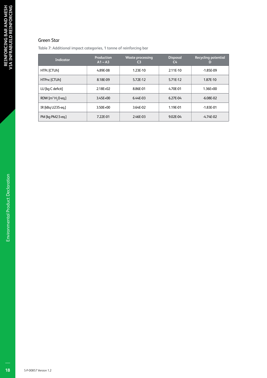### Green Star

**Table 7: Additional impact categories, 1 tonne of reinforcing bar**

| <b>Indicator</b>              | Production<br>$A1 - A3$ | <b>Waste processing</b><br>C <sub>3</sub> | <b>Disposal</b><br>$C_{\mathbf{4}}$ | <b>Recycling potential</b><br>D |
|-------------------------------|-------------------------|-------------------------------------------|-------------------------------------|---------------------------------|
| HTPc [CTUh]                   | 4.89E-08                | 1.23E-10                                  | 2.11E-10                            | $-1.85E-09$                     |
| HTPnc [CTUh]                  | 8.18E-09                | 5.72E-12                                  | 5.71E-12                            | 1.87E-10                        |
| LU [kg C deficit]             | $2.18E + 02$            | 8.86E-01                                  | 4.70E-01                            | $1.36E + 00$                    |
| RDW $[m^3 H, O \text{-} eq.]$ | $3.45E + 00$            | 6.44E-03                                  | 6.27E-04                            | $-6.08E - 02$                   |
| IR [kBq U235-eq.]             | 3.50E+00                | 3.64E-02                                  | 1.19E-01                            | $-1.83E - 01$                   |
| PM [kg PM2.5-eg.]             | 7.22E-01                | 2.46E-03                                  | 9.02E-04                            | $-4.74E - 02$                   |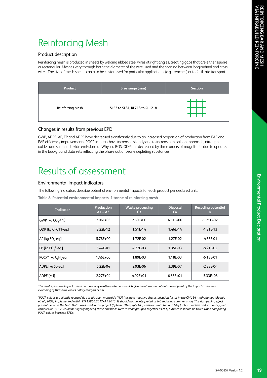## Reinforcing Mesh

#### Product description

Reinforcing mesh is produced in sheets by welding ribbed steel wires at right angles, creating gaps that are either square or rectangular. Meshes vary through both the diameter of the wire used and the spacing between longitudinal and cross wires. The size of mesh sheets can also be customised for particular applications (e.g. trenches) or to facilitate transport.

| Product          | Size range (mm)               | <b>Section</b> |
|------------------|-------------------------------|----------------|
| Reinforcing Mesh | SL53 to SL81, RL718 to RL1218 |                |

#### Changes in results from previous EPD

GWP, ADPF, AP, EP and ADPE have decreased significantly due to an increased proportion of production from EAF and EAF efficiency improvements. POCP impacts have increased slightly due to increases in carbon monoxide, nitrogen oxides and sulphur dioxide emissions at Whyalla BOS. ODP has decreased by three orders of magnitude, due to updates in the background data sets reflecting the phase out of ozone depleting substances.

### Results of assessment

#### Environmental impact indicators

The following indicators describe potential environmental impacts for each product per declared unit.

**Table 8: Potential environmental impacts, 1 tonne of reinforcing mesh**

| Indicator                      | Production<br>$A1 - A3$ | <b>Waste processing</b><br>C <sub>3</sub> | <b>Disposal</b><br>$C_{\mathbf{4}}$ | <b>Recycling potential</b><br>D |
|--------------------------------|-------------------------|-------------------------------------------|-------------------------------------|---------------------------------|
| GWP [kg CO <sub>2</sub> -eq.]  | $2.06E + 03$            | $2.60E + 00$                              | $4.51E + 00$                        | $-5.21E+02$                     |
| ODP [kg CFC11-eg.]             | 2.22E-12                | 1.51E-14                                  | 1.46E-14                            | $-1.21E-13$                     |
| AP [kg $SO$ <sub>2</sub> -eq.] | 5.78E+00                | 1.72E-02                                  | 1.27E-02                            | -4.66E-01                       |
| EP [kg PO $^3$ -eq.]           | 6.44E-01                | $4.22E-03$                                | 1.35E-03                            | $-8.21E - 02$                   |
| POCP* [kg C, H, -eq.]          | $1.46E + 00$            | 1.89E-03                                  | 1.18E-03                            | $-6.18E - 01$                   |
| ADPE [kg Sb-eg.]               | $6.22E-04$              | 2.93E-06                                  | 3.39E-07                            | $-2.28E - 04$                   |
| ADPF [MJ]                      | $2.27E + 04$            | $4.92E + 01$                              | $6.85E + 01$                        | $-5.33E+03$                     |

*The results from the impact assessment are only relative statements which give no information about the endpoint of the impact categories, exceeding of threshold values, safety margins or risk.*

*\*POCP values are slightly reduced due to nitrogen monoxide (NO) having a negative characterisation factor in the CML-IA methodology (Guinée et. al., 2002) implemented within EN 15804:2012+A1:2013. It should not be interpreted as NO reducing summer smog. This dampening effect present because the GaBi Databases used in this project (Sphera, 2020) split NOx emissions into NO and NO2 for both mobile and stationary fuel combustion. POCP would be slightly higher if these emissions were instead grouped together as NOx. Extra care should be taken when comparing POCP values between EPDs.*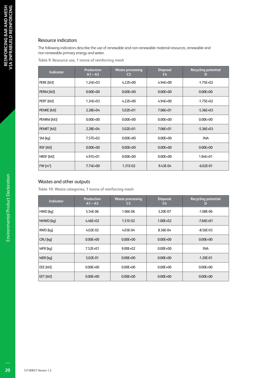#### Resource indicators

The following indicators describe the use of renewable and non-renewable material resources, renewable and non-renewable primary energy and water.

**Table 9: Resource use, 1 tonne of reinforcing mesh**

| <b>Indicator</b>     | <b>Production</b><br>$A1 - A3$ | <b>Waste processing</b><br>C3 | <b>Disposal</b><br>$C_{\rm 4}$ | <b>Recycling potential</b><br>D |
|----------------------|--------------------------------|-------------------------------|--------------------------------|---------------------------------|
| PERE [MJ]            | $1.24E + 03$                   | $4.22E + 00$                  | $4.94E + 00$                   | $-1.75E + 02$                   |
| PERM [MJ]            | $0.00E + 00$                   | $0.00E + 00$                  | $0.00E + 00$                   | $0.00E + 00$                    |
| PERT [MJ]            | $1.24E + 03$                   | $4.22E + 00$                  | $4.94E + 00$                   | $-1.75E+02$                     |
| PENRE [MJ]           | 2.28E+04                       | $5.02E + 01$                  | 7.06E+01                       | $-5.36E+03$                     |
| PENRM [MJ]           | $0.00E + 00$                   | $0.00E + 00$                  | $0.00E + 00$                   | $0.00E + 00$                    |
| PENRT [MJ]           | $2.28E + 04$                   | $5.02E + 01$                  | 7.06E+01                       | $-5.36E+03$                     |
| SM [kq]              | 7.57E+02                       | $0.00E + 00$                  | $0.00E + 00$                   | <b>INA</b>                      |
| RSF [MJ]             | $0.00E + 00$                   | $0.00E + 00$                  | $0.00E + 00$                   | $0.00E + 00$                    |
| NRSF [MJ]            | $4.91E + 01$                   | $0.00E + 00$                  | $0.00E + 00$                   | 1.84E+01                        |
| $FW \, [\text{m}^3]$ | 7.74E+00                       | 1.31E-02                      | 9.43E-04                       | $-6.02E - 01$                   |

#### Wastes and other outputs

**Table 10: Waste categories, 1 tonne of reinforcing mesh**

| <b>Indicator</b> | Production<br>$A1 - A3$ | <b>Waste processing</b><br>C3 | <b>Disposal</b><br>C <sub>4</sub> | <b>Recycling potential</b><br>D |
|------------------|-------------------------|-------------------------------|-----------------------------------|---------------------------------|
| HWD [kq]         | 5.54E-06                | 1.06E-06                      | 3.20E-07                          | $-1.08E-06$                     |
| NHWD [kq]        | $4.46E + 02$            | 1.51E-02                      | $1.00E + 02$                      | $-7.66E + 01$                   |
| RWD [kq]         | 4.02E-02                | 4.03E-04                      | 8.36E-04                          | $-8.56E-03$                     |
| CRU [kq]         | $0.00E + 00$            | $0.00E + 00$                  | $0.00E + 00$                      | $0.00E + 00$                    |
| MFR [kq]         | 7.52E+01                | $9.00E + 02$                  | $0.00E + 00$                      | <b>INA</b>                      |
| MER [kg]         | 5.02E-01                | $0.00E + 00$                  | $0.00E + 00$                      | $-1.20E - 01$                   |
| EEE [MJ]         | $0.00E + 00$            | $0.00E + 00$                  | $0.00E + 00$                      | $0.00E + 00$                    |
| EET [MJ]         | $0.00E + 00$            | $0.00E + 00$                  | $0.00E + 00$                      | $0.00E + 00$                    |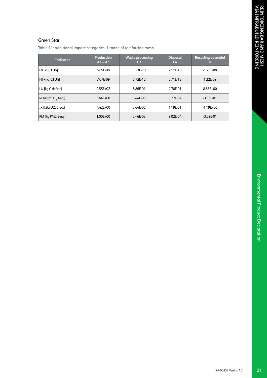#### Green Star

**Table 11: Additional impact categories, 1 tonne of reinforcing mesh**

| Indicator                     | Production<br>$A1 - A3$ | <b>Waste processing</b><br>C3 | <b>Disposal</b><br>$C_{\mathbf{4}}$ | <b>Recycling potential</b><br>D |
|-------------------------------|-------------------------|-------------------------------|-------------------------------------|---------------------------------|
| HTPc [CTUh]                   | 5.89E-08                | 1.23E-10                      | 2.11E-10                            | $-1.20E - 08$                   |
| HTPnc [CTUh]                  | 7.07E-09                | 5.72E-12                      | 5.71E-12                            | 1.22E-09                        |
| LU [kg C deficit]             | 2.55E+02                | 8.86E-01                      | 4.70E-01                            | 8.86E+00                        |
| RDW $[m^3 H, O \text{-} eq.]$ | $3.64E + 00$            | 6.44E-03                      | 6.27E-04                            | $-3.96E - 01$                   |
| IR [kBq U235-eq.]             | $4.42E + 00$            | 3.64E-02                      | 1.19E-01                            | $-1.19E + 00$                   |
| PM [kg PM2.5-eg.]             | $1.00E + 00$            | 2.46E-03                      | 9.02E-04                            | $-3.09E - 01$                   |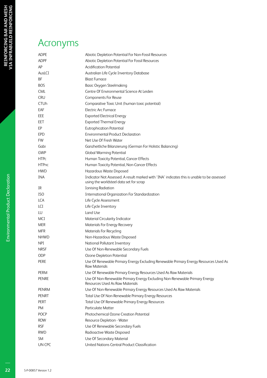### Acronyms

| ADPE         | Abiotic Depletion Potential For Non-Fossil Resources                                                                                  |
|--------------|---------------------------------------------------------------------------------------------------------------------------------------|
| ADPF         | Abiotic Depletion Potential For Fossil Resources                                                                                      |
| АP           | <b>Acidification Potential</b>                                                                                                        |
| AusLCI       | Australian Life Cycle Inventory Database                                                                                              |
| ΒF           | <b>Blast Furnace</b>                                                                                                                  |
| BOS          | <b>Basic Oxygen Steelmaking</b>                                                                                                       |
| CML          | Centre Of Environmental Science At Leiden                                                                                             |
| <b>CRU</b>   | <b>Components For Reuse</b>                                                                                                           |
| CTUh         | Comparative Toxic Unit (human toxic potential)                                                                                        |
| EAF          | <b>Electric Arc Furnace</b>                                                                                                           |
| EEE          | <b>Exported Electrical Energy</b>                                                                                                     |
| EET          | <b>Exported Thermal Energy</b>                                                                                                        |
| ЕP           | <b>Eutrophication Potential</b>                                                                                                       |
| EPD          | <b>Environmental Product Declaration</b>                                                                                              |
| <b>FW</b>    | Net Use Of Fresh Water                                                                                                                |
| Gabi         | Ganzheitliche Bilanzierung (German For Holistic Balancing)                                                                            |
| GWP          | <b>Global Warming Potential</b>                                                                                                       |
| <b>HTPc</b>  | Human Toxicity Potential, Cancer Effects                                                                                              |
| <b>HTPnc</b> | Human Toxicity Potential, Non-Cancer Effects                                                                                          |
| HWD          | Hazardous Waste Disposed                                                                                                              |
| INA          | Indicator Not Assessed. A result marked with 'INA' indicates this is unable to be assessed<br>using the worldsteel data set for scrap |
| IR           | <b>Ionising Radiation</b>                                                                                                             |
| ISO          | <b>International Organization For Standardization</b>                                                                                 |
| LCA          | Life Cycle Assessment                                                                                                                 |
| LCI          | Life Cycle Inventory                                                                                                                  |
| LU           | Land Use                                                                                                                              |
| MCI          | Material Circularity Indicator                                                                                                        |
| MER          | Materials For Energy Recovery                                                                                                         |
| MFR          | <b>Materials For Recycling</b>                                                                                                        |
| NHWD         | Non-Hazardous Waste Disposed                                                                                                          |
| NPI          | National Pollutant Inventory                                                                                                          |
| NRSF         | Use Of Non-Renewable Secondary Fuels                                                                                                  |
| ODP          | Ozone Depletion Potential                                                                                                             |
| PERE         | Use Of Renewable Primary Energy Excluding Renewable Primary Energy Resources Used As<br><b>Raw Materials</b>                          |
| PERM         | Use Of Renewable Primary Energy Resources Used As Raw Materials                                                                       |
| PENRE        | Use Of Non-Renewable Primary Energy Excluding Non-Renewable Primary Energy<br>Resources Used As Raw Materials                         |
| PENRM        | Use Of Non-Renewable Primary Energy Resources Used As Raw Materials                                                                   |
| PENRT        | Total Use Of Non-Renewable Primary Energy Resources                                                                                   |
| <b>PERT</b>  | Total Use Of Renewable Primary Energy Resources                                                                                       |
| PM           | <b>Particulate Matter</b>                                                                                                             |
| POCP         | Photochemical Ozone Creation Potential                                                                                                |
| RDW          | Resource Depletion - Water                                                                                                            |
| RSF          | Use Of Renewable Secondary Fuels                                                                                                      |
| rwd          | Radioactive Waste Disposed                                                                                                            |
| SM           | Use Of Secondary Material                                                                                                             |
| UN CPC       | United Nations Central Product Classification                                                                                         |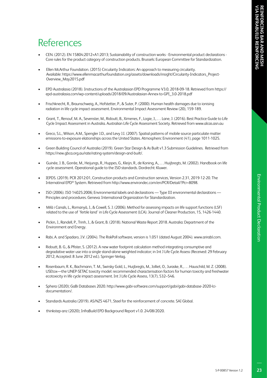## References

- CEN. (2012). EN 15804:2012+A1:2013; Sustainability of construction works Environmental product declarations Core rules for the product category of construction products. Brussels: European Committee for Standardization.
- Ellen McArthur Foundation. (2015) Circularity Indicators: An approach to measuring circularity. Available: https://www.ellenmacarthurfoundation.org/assets/downloads/insight/Circularity-Indicators\_Project-Overview\_May2015.pdf
- EPD Australasia (2018). Instructions of the Australasian EPD Programme V3.0, 2018-09-18. Retrieved from https:// epd-australasia.com/wp-content/uploads/2018/09/Australasian-Annex-to-GPI\_3.0-2018.pdf
- Frischknecht, R., Braunschweig, A., Hofstetter, P., & Suter, P. (2000). Human health damages due to ionising radiation in life cycle impact assessment. Environmental Impact Assessment Review (20), 159-189.
- Grant, T., Renouf, M. A., Sevenster, M., Ridoutt, B., Ximenes, F., Logie, J., . . . Lane, J. (2016). Best Practice Guide to Life Cycle Impact Assessment in Australia. Australian Life Cycle Assessment Society. Retrieved from www.alcas.asn.au
- Greco, S.L., Wilson, A.M., Spengler J.D., and Levy J.I. (2007). Spatial patterns of mobile source particulate matter emissions-to-exposure elationships across the United States. Atmospheric Environment (41), page 1011-1025.
- Green Building Council of Australia (2019). Green Star Design & As Built v1.3 Submission Guidelines. Retrieved from https://new.gbca.org.au/rate/rating-system/design-and-built/.
- Guinée, J. B., Gorrée, M., Heijungs, R., Huppes, G., Kleijn, R., de Koning, A., . . . Huijbregts, M. (2002). Handbook on life cycle assessment. Operational guide to the ISO standards. Dordrecht: Kluwer.
- IEPDS. (2019). PCR 2012:01, Construction products and Construction services, Version 2.31, 2019-12-20. The Internatinal EPD® System. Retrieved from http://www.environdec.com/en/PCR/Detail/?Pcr=8098.
- ISO (2006). ISO 14025:2006; Environmental labels and declarations Type III environmental declarations Principles and procedures. Geneva: International Organization for Standardization.
- Milà i Canals, L., Romanyà, J., & Cowell, S. J. (2006). Method for assessing impacts on life support functions (LSF) related to the use of 'fertile land' in Life Cycle Assessment (LCA). Journal of Cleaner Production, 15, 1426-1440.
- Pickin, J., Randell, P., Trinh, J., & Grant, B. (2018). National Waste Report 2018. Australia: Department of the Environment and Energy.
- Rabi, A. and Spadaro, J.V. (2004). The RiskPoll software, version is 1.051 (dated August 2004). www.arirabl.com.
- Ridoutt, B. G., & Pfister, S. (2012). A new water footprint calculation method integrating consumptive and degradative water use into a single stand-alone weighted indicator; in Int J Life Cycle Assess (Received: 29 February 2012; Accepted: 8 June 2012 ed.). Springer-Verlag.
- Rosenbaum, R. K., Bachmann, T. M., Swirsky Gold, L., Huijbregts, M., Jolliet, O., Juraske, R., . . . Hauschild, M. Z. (2008). USEtox—the UNEP-SETAC toxicity model: recommended characterisation factors for human toxicity and freshwater ecotoxicity in life cycle impact assessment. Int J Life Cycle Assess, 13(7), 532–546.
- Sphera (2020); GaBi Databases 2020. http://www.gabi-software.com/support/gabi/gabi-database-2020-lcidocumentation/.
- Standards Australia (2019). AS/NZS 4671, Steel for the reinforcement of concrete. SAI Global.
- thinkstep-anz (2020); InfraBuild EPD Background Report v1.0. 24/08/2020.